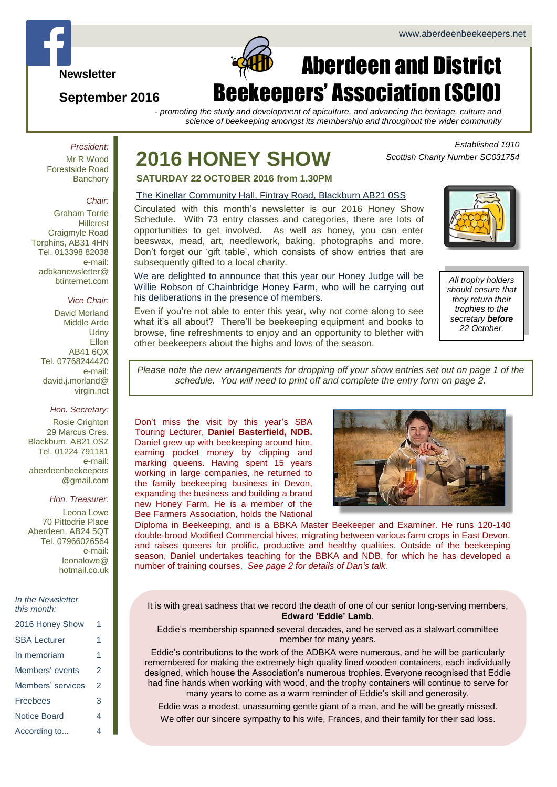**Newsletter**

## **September 2016**

# Aberdeen and District Beekeepers' Association (SCIO)

*- promoting the study and development of apiculture, and advancing the heritage, culture and science of beekeeping amongst its membership and throughout the wider community*

*President:* Mr R Wood Forestside Road **Banchory** 

#### *Chair:*

Graham Torrie **Hillcrest** Craigmyle Road Torphins, AB31 4HN Tel. 013398 82038 e-mail: adbkanewsletter@ btinternet.com

#### *Vice Chair:*

David Morland Middle Ardo **Udny** Ellon AB41 6QX Tel. 07768244420 e-mail: david.j.morland@ virgin.net

#### *Hon. Secretary:*

Rosie Crighton 29 Marcus Cres. Blackburn, AB21 0SZ Tel. 01224 791181 e-mail: aberdeenbeekeepers @gmail.com

#### *Hon. Treasurer:*

Leona Lowe 70 Pittodrie Place Aberdeen, AB24 5QT Tel. 07966026564 e-mail: leonalowe@ hotmail.co.uk

|  | In the Newsletter |
|--|-------------------|
|  | this month:       |

| 2016 Honey Show     | 1 |
|---------------------|---|
| <b>SBA Lecturer</b> | 1 |
| In memoriam         | 1 |
| Members' events     | 2 |
| Members' services   | 2 |
| Freebees            | 3 |
| Notice Board        | 4 |
| According to        | 4 |

# **2016 HONEY SHOW**

 $\Box$ 

*Scottish Charity Number SC031754*

**SATURDAY 22 OCTOBER 2016 from 1.30PM**

### The Kinellar Community Hall, Fintray Road, Blackburn AB21 0SS

Circulated with this month's newsletter is our 2016 Honey Show Schedule. With 73 entry classes and categories, there are lots of opportunities to get involved. As well as honey, you can enter beeswax, mead, art, needlework, baking, photographs and more. Don't forget our 'gift table', which consists of show entries that are subsequently gifted to a local charity.

We are delighted to announce that this year our Honey Judge will be Willie Robson of Chainbridge Honey Farm, who will be carrying out his deliberations in the presence of members.

Even if you're not able to enter this year, why not come along to see what it's all about? There'll be beekeeping equipment and books to browse, fine refreshments to enjoy and an opportunity to blether with other beekeepers about the highs and lows of the season.



*Established 1910*

*All trophy holders should ensure that they return their trophies to the secretary before 22 October.*

*Please note the new arrangements for dropping off your show entries set out on page 1 of the schedule. You will need to print off and complete the entry form on page 2.*

Don't miss the visit by this year's SBA Touring Lecturer, **Daniel Basterfield, NDB.** Daniel grew up with beekeeping around him, earning pocket money by clipping and marking queens. Having spent 15 years working in large companies, he returned to the family beekeeping business in Devon, expanding the business and building a brand new Honey Farm. He is a member of the Bee Farmers Association, holds the National



Diploma in Beekeeping, and is a BBKA Master Beekeeper and Examiner. He runs 120-140 double-brood Modified Commercial hives, migrating between various farm crops in East Devon, and raises queens for prolific, productive and healthy qualities. Outside of the beekeeping season, Daniel undertakes teaching for the BBKA and NDB, for which he has developed a number of training courses. *See page 2 for details of Dan's talk.*

It is with great sadness that we record the death of one of our senior long-serving members, **Edward 'Eddie' Lamb**.

Eddie's membership spanned several decades, and he served as a stalwart committee member for many years.

Eddie's contributions to the work of the ADBKA were numerous, and he will be particularly remembered for making the extremely high quality lined wooden containers, each individually designed, which house the Association's numerous trophies. Everyone recognised that Eddie had fine hands when working with wood, and the trophy containers will continue to serve for many years to come as a warm reminder of Eddie's skill and generosity.

Eddie was a modest, unassuming gentle giant of a man, and he will be greatly missed.

We offer our sincere sympathy to his wife, Frances, and their family for their sad loss.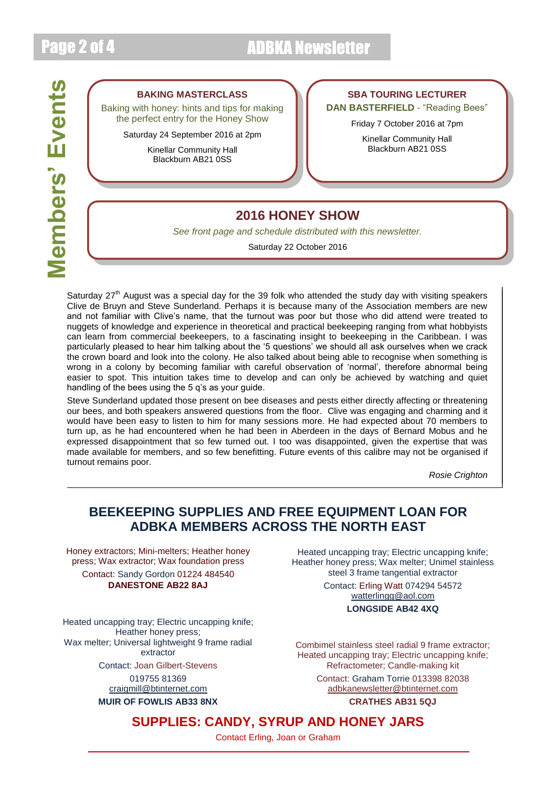# Page 2 of 4 ADBKA Newsletter



### **BAKING MASTERCLASS**

Baking with honey: hints and tips for making the perfect entry for the Honey Show

Saturday 24 September 2016 at 2pm

Kinellar Community Hall Blackburn AB21 0SS

## **SBA TOURING LECTURER**

**DAN BASTERFIELD** - "Reading Bees"

Friday 7 October 2016 at 7pm

Kinellar Community Hall Blackburn AB21 0SS

## **2016 HONEY SHOW**

*See front page and schedule distributed with this newsletter.*

Saturday 22 October 2016

Saturdav 27<sup>th</sup> August was a special day for the 39 folk who attended the study day with visiting speakers Clive de Bruyn and Steve Sunderland. Perhaps it is because many of the Association members are new and not familiar with Clive's name, that the turnout was poor but those who did attend were treated to nuggets of knowledge and experience in theoretical and practical beekeeping ranging from what hobbyists can learn from commercial beekeepers, to a fascinating insight to beekeeping in the Caribbean. I was particularly pleased to hear him talking about the '5 questions' we should all ask ourselves when we crack the crown board and look into the colony. He also talked about being able to recognise when something is wrong in a colony by becoming familiar with careful observation of 'normal', therefore abnormal being easier to spot. This intuition takes time to develop and can only be achieved by watching and quiet handling of the bees using the 5 q's as your guide.

Steve Sunderland updated those present on bee diseases and pests either directly affecting or threatening our bees, and both speakers answered questions from the floor. Clive was engaging and charming and it would have been easy to listen to him for many sessions more. He had expected about 70 members to turn up, as he had encountered when he had been in Aberdeen in the days of Bernard Mobus and he expressed disappointment that so few turned out. I too was disappointed, given the expertise that was made available for members, and so few benefitting. Future events of this calibre may not be organised if turnout remains poor.

*Rosie Crighton*

## **BEEKEEPING SUPPLIES AND FREE EQUIPMENT LOAN FOR ADBKA MEMBERS ACROSS THE NORTH EAST**

Honey extractors; Mini-melters; Heather honey press; Wax extractor; Wax foundation press Contact: Sandy Gordon 01224 484540 **DANESTONE AB22 8AJ**

Heated uncapping tray; Electric uncapping knife; Heather honey press; Wax melter; Universal lightweight 9 frame radial extractor

Contact: Joan Gilbert-Stevens

019755 81369 [craigmill@btinternet.com](mailto:craigmill@btinternet.com)

**MUIR OF FOWLIS AB33 8NX**

Heated uncapping tray; Electric uncapping knife; Heather honey press; Wax melter; Unimel stainless steel 3 frame tangential extractor

> Contact: Erling Watt 074294 54572 [watterlingg@aol.com](mailto:watterlingg@aol.com) **LONGSIDE AB42 4XQ**

Combimel stainless steel radial 9 frame extractor; Heated uncapping tray; Electric uncapping knife; Refractometer; Candle-making kit

> Contact: Graham Torrie 013398 82038 [adbkanewsletter@btinternet.com](mailto:adbkanewsletter@btinternet.com)

> > **CRATHES AB31 5QJ**

## **SUPPLIES: CANDY, SYRUP AND HONEY JARS**

Contact Erling, Joan or Graham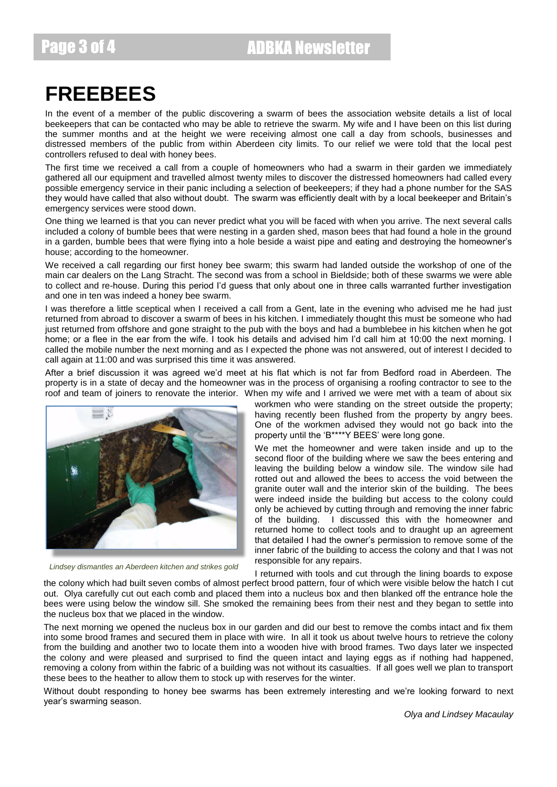Page 3 of 4 ADBKA Newsletter

# **FREEBEES**

In the event of a member of the public discovering a swarm of bees the association website details a list of local beekeepers that can be contacted who may be able to retrieve the swarm. My wife and I have been on this list during the summer months and at the height we were receiving almost one call a day from schools, businesses and distressed members of the public from within Aberdeen city limits. To our relief we were told that the local pest controllers refused to deal with honey bees.

The first time we received a call from a couple of homeowners who had a swarm in their garden we immediately gathered all our equipment and travelled almost twenty miles to discover the distressed homeowners had called every possible emergency service in their panic including a selection of beekeepers; if they had a phone number for the SAS they would have called that also without doubt. The swarm was efficiently dealt with by a local beekeeper and Britain's emergency services were stood down.

One thing we learned is that you can never predict what you will be faced with when you arrive. The next several calls included a colony of bumble bees that were nesting in a garden shed, mason bees that had found a hole in the ground in a garden, bumble bees that were flying into a hole beside a waist pipe and eating and destroying the homeowner's house; according to the homeowner.

We received a call regarding our first honey bee swarm; this swarm had landed outside the workshop of one of the main car dealers on the Lang Stracht. The second was from a school in Bieldside; both of these swarms we were able to collect and re-house. During this period I'd guess that only about one in three calls warranted further investigation and one in ten was indeed a honey bee swarm.

I was therefore a little sceptical when I received a call from a Gent, late in the evening who advised me he had just returned from abroad to discover a swarm of bees in his kitchen. I immediately thought this must be someone who had just returned from offshore and gone straight to the pub with the boys and had a bumblebee in his kitchen when he got home; or a flee in the ear from the wife. I took his details and advised him I'd call him at 10:00 the next morning. I called the mobile number the next morning and as I expected the phone was not answered, out of interest I decided to call again at 11:00 and was surprised this time it was answered.

After a brief discussion it was agreed we'd meet at his flat which is not far from Bedford road in Aberdeen. The property is in a state of decay and the homeowner was in the process of organising a roofing contractor to see to the roof and team of joiners to renovate the interior. When my wife and I arrived we were met with a team of about six



*Lindsey dismantles an Aberdeen kitchen and strikes gold*

workmen who were standing on the street outside the property; having recently been flushed from the property by angry bees. One of the workmen advised they would not go back into the property until the 'B\*\*\*\*Y BEES' were long gone.

We met the homeowner and were taken inside and up to the second floor of the building where we saw the bees entering and leaving the building below a window sile. The window sile had rotted out and allowed the bees to access the void between the granite outer wall and the interior skin of the building. The bees were indeed inside the building but access to the colony could only be achieved by cutting through and removing the inner fabric of the building. I discussed this with the homeowner and returned home to collect tools and to draught up an agreement that detailed I had the owner's permission to remove some of the inner fabric of the building to access the colony and that I was not responsible for any repairs.

I returned with tools and cut through the lining boards to expose

the colony which had built seven combs of almost perfect brood pattern, four of which were visible below the hatch I cut out. Olya carefully cut out each comb and placed them into a nucleus box and then blanked off the entrance hole the bees were using below the window sill. She smoked the remaining bees from their nest and they began to settle into the nucleus box that we placed in the window.

The next morning we opened the nucleus box in our garden and did our best to remove the combs intact and fix them into some brood frames and secured them in place with wire. In all it took us about twelve hours to retrieve the colony from the building and another two to locate them into a wooden hive with brood frames. Two days later we inspected the colony and were pleased and surprised to find the queen intact and laying eggs as if nothing had happened, removing a colony from within the fabric of a building was not without its casualties. If all goes well we plan to transport these bees to the heather to allow them to stock up with reserves for the winter.

Without doubt responding to honey bee swarms has been extremely interesting and we're looking forward to next year's swarming season.

*Olya and Lindsey Macaulay*